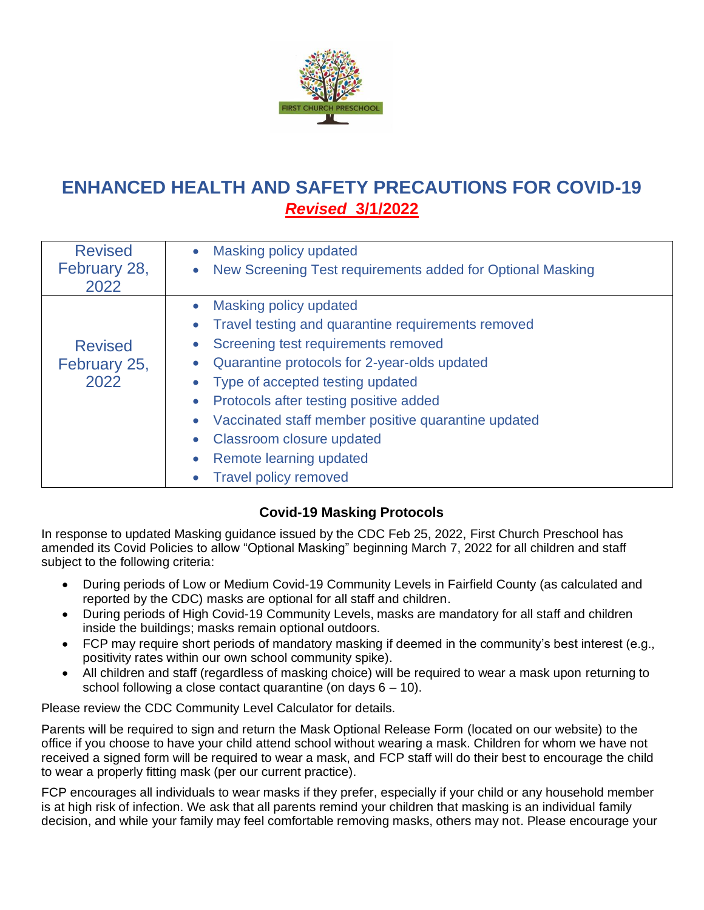

# **ENHANCED HEALTH AND SAFETY PRECAUTIONS FOR COVID-19** *Revised* **3/1/2022**

| <b>Revised</b>                         | Masking policy updated                                                  |
|----------------------------------------|-------------------------------------------------------------------------|
| February 28,                           | New Screening Test requirements added for Optional Masking<br>$\bullet$ |
| 2022                                   |                                                                         |
| <b>Revised</b><br>February 25,<br>2022 | Masking policy updated                                                  |
|                                        | Travel testing and quarantine requirements removed                      |
|                                        | Screening test requirements removed                                     |
|                                        | Quarantine protocols for 2-year-olds updated                            |
|                                        | Type of accepted testing updated                                        |
|                                        | Protocols after testing positive added                                  |
|                                        | Vaccinated staff member positive quarantine updated                     |
|                                        | Classroom closure updated                                               |
|                                        | Remote learning updated                                                 |
|                                        | <b>Travel policy removed</b>                                            |

# **Covid-19 Masking Protocols**

In response to updated Masking guidance issued by the CDC Feb 25, 2022, First Church Preschool has amended its Covid Policies to allow "Optional Masking" beginning March 7, 2022 for all children and staff subject to the following criteria:

- During periods of Low or Medium Covid-19 Community Levels in Fairfield County (as calculated and reported by the CDC) masks are optional for all staff and children.
- During periods of High Covid-19 Community Levels, masks are mandatory for all staff and children inside the buildings; masks remain optional outdoors.
- FCP may require short periods of mandatory masking if deemed in the community's best interest (e.g., positivity rates within our own school community spike).
- All children and staff (regardless of masking choice) will be required to wear a mask upon returning to school following a close contact quarantine (on days  $6 - 10$ ).

Please review the CDC Community Level Calculator for details.

Parents will be required to sign and return the Mask Optional Release Form (located on our website) to the office if you choose to have your child attend school without wearing a mask. Children for whom we have not received a signed form will be required to wear a mask, and FCP staff will do their best to encourage the child to wear a properly fitting mask (per our current practice).

FCP encourages all individuals to wear masks if they prefer, especially if your child or any household member is at high risk of infection. We ask that all parents remind your children that masking is an individual family decision, and while your family may feel comfortable removing masks, others may not. Please encourage your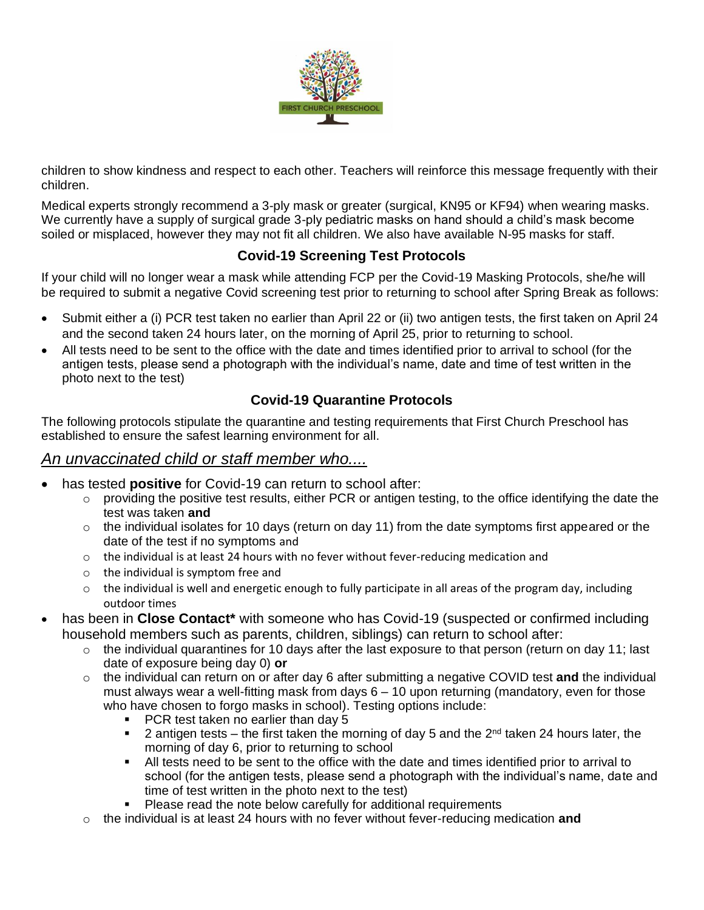

children to show kindness and respect to each other. Teachers will reinforce this message frequently with their children.

Medical experts strongly recommend a 3-ply mask or greater (surgical, KN95 or KF94) when wearing masks. We currently have a supply of surgical grade 3-ply pediatric masks on hand should a child's mask become soiled or misplaced, however they may not fit all children. We also have available N-95 masks for staff.

### **Covid-19 Screening Test Protocols**

If your child will no longer wear a mask while attending FCP per the Covid-19 Masking Protocols, she/he will be required to submit a negative Covid screening test prior to returning to school after Spring Break as follows:

- Submit either a (i) PCR test taken no earlier than April 22 or (ii) two antigen tests, the first taken on April 24 and the second taken 24 hours later, on the morning of April 25, prior to returning to school.
- All tests need to be sent to the office with the date and times identified prior to arrival to school (for the antigen tests, please send a photograph with the individual's name, date and time of test written in the photo next to the test)

### **Covid-19 Quarantine Protocols**

The following protocols stipulate the quarantine and testing requirements that First Church Preschool has established to ensure the safest learning environment for all.

# *An unvaccinated child or staff member who....*

- has tested **positive** for Covid-19 can return to school after:
	- o providing the positive test results, either PCR or antigen testing, to the office identifying the date the test was taken **and**
	- $\circ$  the individual isolates for 10 days (return on day 11) from the date symptoms first appeared or the date of the test if no symptoms and
	- $\circ$  the individual is at least 24 hours with no fever without fever-reducing medication and
	- o the individual is symptom free and
	- $\circ$  the individual is well and energetic enough to fully participate in all areas of the program day, including outdoor times
- has been in **Close Contact\*** with someone who has Covid-19 (suspected or confirmed including household members such as parents, children, siblings) can return to school after:
	- $\circ$  the individual quarantines for 10 days after the last exposure to that person (return on day 11; last date of exposure being day 0) **or**
	- o the individual can return on or after day 6 after submitting a negative COVID test **and** the individual must always wear a well-fitting mask from days 6 – 10 upon returning (mandatory, even for those who have chosen to forgo masks in school). Testing options include:
		- PCR test taken no earlier than day 5
		- **•** 2 antigen tests the first taken the morning of day 5 and the  $2^{nd}$  taken 24 hours later, the morning of day 6, prior to returning to school
		- **EXECT** All tests need to be sent to the office with the date and times identified prior to arrival to school (for the antigen tests, please send a photograph with the individual's name, date and time of test written in the photo next to the test)
		- Please read the note below carefully for additional requirements
	- o the individual is at least 24 hours with no fever without fever-reducing medication **and**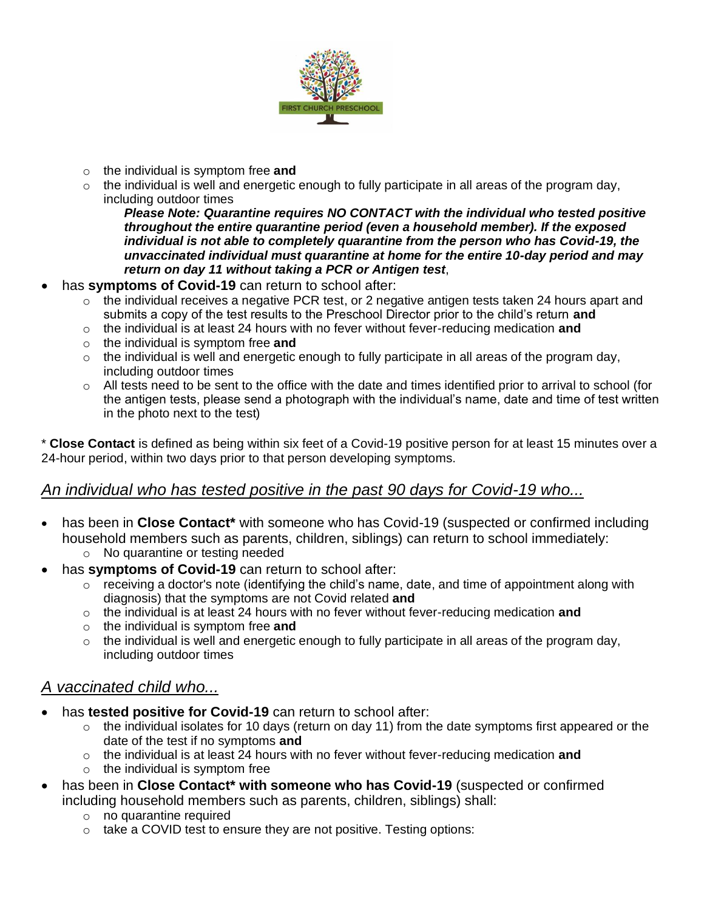

- o the individual is symptom free **and**
- $\circ$  the individual is well and energetic enough to fully participate in all areas of the program day, including outdoor times

*Please Note: Quarantine requires NO CONTACT with the individual who tested positive throughout the entire quarantine period (even a household member). If the exposed individual is not able to completely quarantine from the person who has Covid-19, the unvaccinated individual must quarantine at home for the entire 10-day period and may return on day 11 without taking a PCR or Antigen test*,

- has **symptoms of Covid-19** can return to school after:
	- $\circ$  the individual receives a negative PCR test, or 2 negative antigen tests taken 24 hours apart and submits a copy of the test results to the Preschool Director prior to the child's return **and**
	- o the individual is at least 24 hours with no fever without fever-reducing medication **and**
	- o the individual is symptom free **and**
	- $\circ$  the individual is well and energetic enough to fully participate in all areas of the program day, including outdoor times
	- $\circ$  All tests need to be sent to the office with the date and times identified prior to arrival to school (for the antigen tests, please send a photograph with the individual's name, date and time of test written in the photo next to the test)

\* **Close Contact** is defined as being within six feet of a Covid-19 positive person for at least 15 minutes over a 24-hour period, within two days prior to that person developing symptoms.

### *An individual who has tested positive in the past 90 days for Covid-19 who...*

- has been in **Close Contact\*** with someone who has Covid-19 (suspected or confirmed including household members such as parents, children, siblings) can return to school immediately:
	- o No quarantine or testing needed
- has **symptoms of Covid-19** can return to school after:
	- $\circ$  receiving a doctor's note (identifying the child's name, date, and time of appointment along with diagnosis) that the symptoms are not Covid related **and**
	- o the individual is at least 24 hours with no fever without fever-reducing medication **and**
	- o the individual is symptom free **and**
	- $\circ$  the individual is well and energetic enough to fully participate in all areas of the program day, including outdoor times

# *A vaccinated child who...*

- has **tested positive for Covid-19** can return to school after:
	- o the individual isolates for 10 days (return on day 11) from the date symptoms first appeared or the date of the test if no symptoms **and**
	- o the individual is at least 24 hours with no fever without fever-reducing medication **and**
	- $\circ$  the individual is symptom free
- has been in **Close Contact\* with someone who has Covid-19** (suspected or confirmed including household members such as parents, children, siblings) shall:
	- o no quarantine required
	- $\circ$  take a COVID test to ensure they are not positive. Testing options: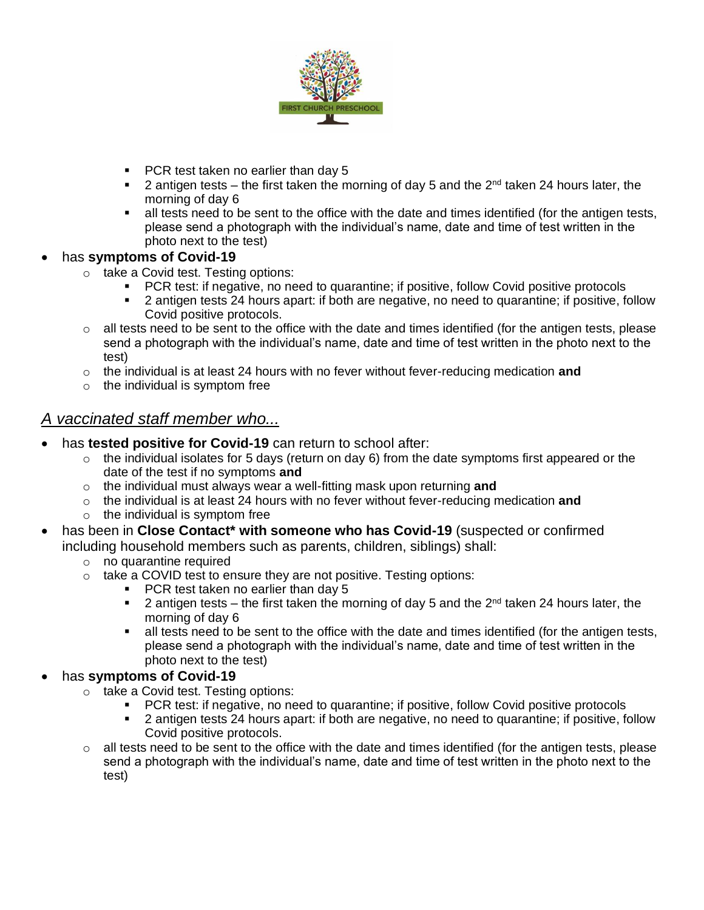

- PCR test taken no earlier than day 5
- **•** 2 antigen tests the first taken the morning of day 5 and the  $2^{nd}$  taken 24 hours later, the morning of day 6
- all tests need to be sent to the office with the date and times identified (for the antigen tests, please send a photograph with the individual's name, date and time of test written in the photo next to the test)

### • has **symptoms of Covid-19**

- o take a Covid test. Testing options:
	- PCR test: if negative, no need to quarantine; if positive, follow Covid positive protocols
	- 2 antigen tests 24 hours apart: if both are negative, no need to quarantine; if positive, follow Covid positive protocols.
- o all tests need to be sent to the office with the date and times identified (for the antigen tests, please send a photograph with the individual's name, date and time of test written in the photo next to the test)
- o the individual is at least 24 hours with no fever without fever-reducing medication **and**
- $\circ$  the individual is symptom free

# *A vaccinated staff member who...*

- has **tested positive for Covid-19** can return to school after:
	- $\circ$  the individual isolates for 5 days (return on day 6) from the date symptoms first appeared or the date of the test if no symptoms **and**
	- o the individual must always wear a well-fitting mask upon returning **and**
	- o the individual is at least 24 hours with no fever without fever-reducing medication **and**
	- $\circ$  the individual is symptom free
- has been in **Close Contact\* with someone who has Covid-19** (suspected or confirmed including household members such as parents, children, siblings) shall:
	- o no quarantine required
	- $\circ$  take a COVID test to ensure they are not positive. Testing options:
		- PCR test taken no earlier than day 5
		- **2** antigen tests the first taken the morning of day 5 and the  $2^{nd}$  taken 24 hours later, the morning of day 6
		- all tests need to be sent to the office with the date and times identified (for the antigen tests, please send a photograph with the individual's name, date and time of test written in the photo next to the test)

### • has **symptoms of Covid-19**

- o take a Covid test. Testing options:
	- PCR test: if negative, no need to quarantine; if positive, follow Covid positive protocols
	- 2 antigen tests 24 hours apart: if both are negative, no need to quarantine; if positive, follow Covid positive protocols.
- $\circ$  all tests need to be sent to the office with the date and times identified (for the antigen tests, please send a photograph with the individual's name, date and time of test written in the photo next to the test)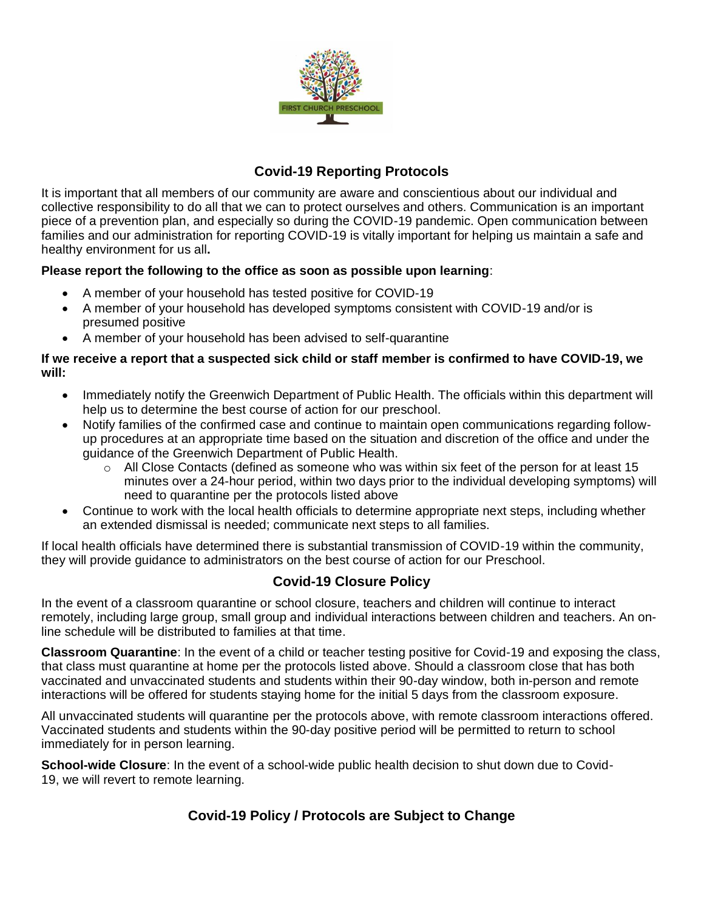

### **Covid-19 Reporting Protocols**

It is important that all members of our community are aware and conscientious about our individual and collective responsibility to do all that we can to protect ourselves and others. Communication is an important piece of a prevention plan, and especially so during the COVID-19 pandemic. Open communication between families and our administration for reporting COVID-19 is vitally important for helping us maintain a safe and healthy environment for us all**.**

### **Please report the following to the office as soon as possible upon learning**:

- A member of your household has tested positive for COVID-19
- A member of your household has developed symptoms consistent with COVID-19 and/or is presumed positive
- A member of your household has been advised to self-quarantine

#### **If we receive a report that a suspected sick child or staff member is confirmed to have COVID-19, we will:**

- Immediately notify the Greenwich Department of Public Health. The officials within this department will help us to determine the best course of action for our preschool.
- Notify families of the confirmed case and continue to maintain open communications regarding followup procedures at an appropriate time based on the situation and discretion of the office and under the guidance of the Greenwich Department of Public Health.
	- $\circ$  All Close Contacts (defined as someone who was within six feet of the person for at least 15 minutes over a 24-hour period, within two days prior to the individual developing symptoms) will need to quarantine per the protocols listed above
- Continue to work with the local health officials to determine appropriate next steps, including whether an extended dismissal is needed; communicate next steps to all families.

If local health officials have determined there is substantial transmission of COVID-19 within the community, they will provide guidance to administrators on the best course of action for our Preschool.

# **Covid-19 Closure Policy**

In the event of a classroom quarantine or school closure, teachers and children will continue to interact remotely, including large group, small group and individual interactions between children and teachers. An online schedule will be distributed to families at that time.

**Classroom Quarantine**: In the event of a child or teacher testing positive for Covid-19 and exposing the class, that class must quarantine at home per the protocols listed above. Should a classroom close that has both vaccinated and unvaccinated students and students within their 90-day window, both in-person and remote interactions will be offered for students staying home for the initial 5 days from the classroom exposure.

All unvaccinated students will quarantine per the protocols above, with remote classroom interactions offered. Vaccinated students and students within the 90-day positive period will be permitted to return to school immediately for in person learning.

**School-wide Closure**: In the event of a school-wide public health decision to shut down due to Covid-19, we will revert to remote learning.

# **Covid-19 Policy / Protocols are Subject to Change**